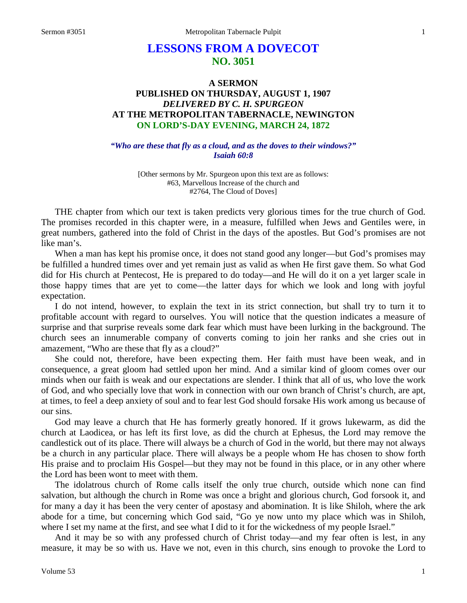# **LESSONS FROM A DOVECOT NO. 3051**

# **A SERMON PUBLISHED ON THURSDAY, AUGUST 1, 1907** *DELIVERED BY C. H. SPURGEON* **AT THE METROPOLITAN TABERNACLE, NEWINGTON ON LORD'S-DAY EVENING, MARCH 24, 1872**

*"Who are these that fly as a cloud, and as the doves to their windows?" Isaiah 60:8*

> [Other sermons by Mr. Spurgeon upon this text are as follows: #63, Marvellous Increase of the church and #2764, The Cloud of Doves]

THE chapter from which our text is taken predicts very glorious times for the true church of God. The promises recorded in this chapter were, in a measure, fulfilled when Jews and Gentiles were, in great numbers, gathered into the fold of Christ in the days of the apostles. But God's promises are not like man's.

When a man has kept his promise once, it does not stand good any longer—but God's promises may be fulfilled a hundred times over and yet remain just as valid as when He first gave them. So what God did for His church at Pentecost, He is prepared to do today—and He will do it on a yet larger scale in those happy times that are yet to come—the latter days for which we look and long with joyful expectation.

I do not intend, however, to explain the text in its strict connection, but shall try to turn it to profitable account with regard to ourselves. You will notice that the question indicates a measure of surprise and that surprise reveals some dark fear which must have been lurking in the background. The church sees an innumerable company of converts coming to join her ranks and she cries out in amazement, "Who are these that fly as a cloud?"

She could not, therefore, have been expecting them. Her faith must have been weak, and in consequence, a great gloom had settled upon her mind. And a similar kind of gloom comes over our minds when our faith is weak and our expectations are slender. I think that all of us, who love the work of God, and who specially love that work in connection with our own branch of Christ's church, are apt, at times, to feel a deep anxiety of soul and to fear lest God should forsake His work among us because of our sins.

God may leave a church that He has formerly greatly honored. If it grows lukewarm, as did the church at Laodicea, or has left its first love, as did the church at Ephesus, the Lord may remove the candlestick out of its place. There will always be a church of God in the world, but there may not always be a church in any particular place. There will always be a people whom He has chosen to show forth His praise and to proclaim His Gospel—but they may not be found in this place, or in any other where the Lord has been wont to meet with them.

The idolatrous church of Rome calls itself the only true church, outside which none can find salvation, but although the church in Rome was once a bright and glorious church, God forsook it, and for many a day it has been the very center of apostasy and abomination. It is like Shiloh, where the ark abode for a time, but concerning which God said, "Go ye now unto my place which was in Shiloh, where I set my name at the first, and see what I did to it for the wickedness of my people Israel."

And it may be so with any professed church of Christ today—and my fear often is lest, in any measure, it may be so with us. Have we not, even in this church, sins enough to provoke the Lord to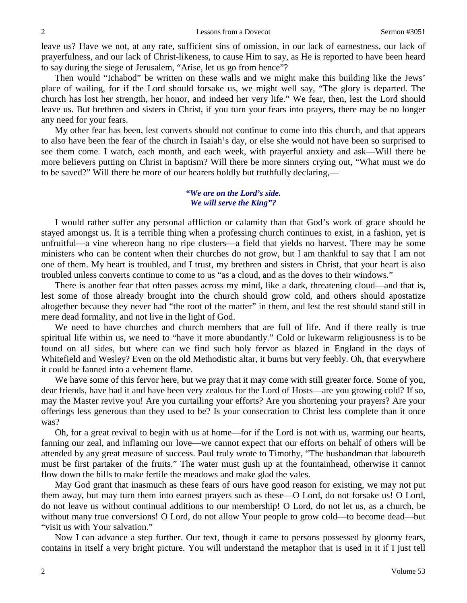leave us? Have we not, at any rate, sufficient sins of omission, in our lack of earnestness, our lack of prayerfulness, and our lack of Christ-likeness, to cause Him to say, as He is reported to have been heard to say during the siege of Jerusalem, "Arise, let us go from hence"?

Then would "Ichabod" be written on these walls and we might make this building like the Jews' place of wailing, for if the Lord should forsake us, we might well say, "The glory is departed. The church has lost her strength, her honor, and indeed her very life." We fear, then, lest the Lord should leave us. But brethren and sisters in Christ, if you turn your fears into prayers, there may be no longer any need for your fears.

My other fear has been, lest converts should not continue to come into this church, and that appears to also have been the fear of the church in Isaiah's day, or else she would not have been so surprised to see them come. I watch, each month, and each week, with prayerful anxiety and ask—Will there be more believers putting on Christ in baptism? Will there be more sinners crying out, "What must we do to be saved?" Will there be more of our hearers boldly but truthfully declaring,—

#### *"We are on the Lord's side. We will serve the King"?*

I would rather suffer any personal affliction or calamity than that God's work of grace should be stayed amongst us. It is a terrible thing when a professing church continues to exist, in a fashion, yet is unfruitful—a vine whereon hang no ripe clusters—a field that yields no harvest. There may be some ministers who can be content when their churches do not grow, but I am thankful to say that I am not one of them. My heart is troubled, and I trust, my brethren and sisters in Christ, that your heart is also troubled unless converts continue to come to us "as a cloud, and as the doves to their windows."

There is another fear that often passes across my mind, like a dark, threatening cloud—and that is, lest some of those already brought into the church should grow cold, and others should apostatize altogether because they never had "the root of the matter" in them, and lest the rest should stand still in mere dead formality, and not live in the light of God.

We need to have churches and church members that are full of life. And if there really is true spiritual life within us, we need to "have it more abundantly." Cold or lukewarm religiousness is to be found on all sides, but where can we find such holy fervor as blazed in England in the days of Whitefield and Wesley? Even on the old Methodistic altar, it burns but very feebly. Oh, that everywhere it could be fanned into a vehement flame.

We have some of this fervor here, but we pray that it may come with still greater force. Some of you, dear friends, have had it and have been very zealous for the Lord of Hosts—are you growing cold? If so, may the Master revive you! Are you curtailing your efforts? Are you shortening your prayers? Are your offerings less generous than they used to be? Is your consecration to Christ less complete than it once was?

Oh, for a great revival to begin with us at home—for if the Lord is not with us, warming our hearts, fanning our zeal, and inflaming our love—we cannot expect that our efforts on behalf of others will be attended by any great measure of success. Paul truly wrote to Timothy, "The husbandman that laboureth must be first partaker of the fruits." The water must gush up at the fountainhead, otherwise it cannot flow down the hills to make fertile the meadows and make glad the vales.

May God grant that inasmuch as these fears of ours have good reason for existing, we may not put them away, but may turn them into earnest prayers such as these—O Lord, do not forsake us! O Lord, do not leave us without continual additions to our membership! O Lord, do not let us, as a church, be without many true conversions! O Lord, do not allow Your people to grow cold—to become dead—but "visit us with Your salvation."

Now I can advance a step further. Our text, though it came to persons possessed by gloomy fears, contains in itself a very bright picture. You will understand the metaphor that is used in it if I just tell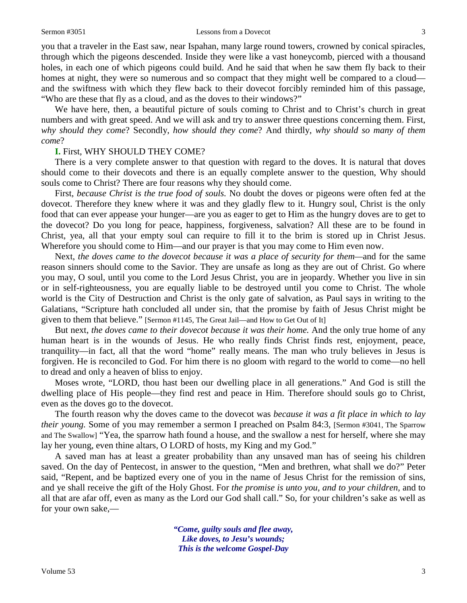#### Sermon #3051 **Lessons from a Dovecot** 3

you that a traveler in the East saw, near Ispahan, many large round towers, crowned by conical spiracles, through which the pigeons descended. Inside they were like a vast honeycomb, pierced with a thousand holes, in each one of which pigeons could build. And he said that when he saw them fly back to their homes at night, they were so numerous and so compact that they might well be compared to a cloud and the swiftness with which they flew back to their dovecot forcibly reminded him of this passage, "Who are these that fly as a cloud, and as the doves to their windows?"

We have here, then, a beautiful picture of souls coming to Christ and to Christ's church in great numbers and with great speed. And we will ask and try to answer three questions concerning them. First, *why should they come*? Secondly, *how should they come*? And thirdly, *why should so many of them come*?

#### **I.** First, WHY SHOULD THEY COME?

There is a very complete answer to that question with regard to the doves. It is natural that doves should come to their dovecots and there is an equally complete answer to the question, Why should souls come to Christ? There are four reasons why they should come.

First, *because Christ is the true food of souls.* No doubt the doves or pigeons were often fed at the dovecot. Therefore they knew where it was and they gladly flew to it. Hungry soul, Christ is the only food that can ever appease your hunger—are you as eager to get to Him as the hungry doves are to get to the dovecot? Do you long for peace, happiness, forgiveness, salvation? All these are to be found in Christ, yea, all that your empty soul can require to fill it to the brim is stored up in Christ Jesus. Wherefore you should come to Him—and our prayer is that you may come to Him even now.

Next, *the doves came to the dovecot because it was a place of security for them—and for the same* reason sinners should come to the Savior. They are unsafe as long as they are out of Christ. Go where you may, O soul, until you come to the Lord Jesus Christ, you are in jeopardy. Whether you live in sin or in self-righteousness, you are equally liable to be destroyed until you come to Christ. The whole world is the City of Destruction and Christ is the only gate of salvation, as Paul says in writing to the Galatians, "Scripture hath concluded all under sin, that the promise by faith of Jesus Christ might be given to them that believe." [Sermon #1145, The Great Jail—and How to Get Out of It]

But next, *the doves came to their dovecot because it was their home.* And the only true home of any human heart is in the wounds of Jesus. He who really finds Christ finds rest, enjoyment, peace, tranquility—in fact, all that the word "home" really means. The man who truly believes in Jesus is forgiven. He is reconciled to God. For him there is no gloom with regard to the world to come—no hell to dread and only a heaven of bliss to enjoy.

Moses wrote, "LORD, thou hast been our dwelling place in all generations." And God is still the dwelling place of His people—they find rest and peace in Him. Therefore should souls go to Christ, even as the doves go to the dovecot.

The fourth reason why the doves came to the dovecot was *because it was a fit place in which to lay their young.* Some of you may remember a sermon I preached on Psalm 84:3, [Sermon #3041, The Sparrow and The Swallow] "Yea, the sparrow hath found a house, and the swallow a nest for herself, where she may lay her young, even thine altars, O LORD of hosts, my King and my God."

A saved man has at least a greater probability than any unsaved man has of seeing his children saved. On the day of Pentecost, in answer to the question, "Men and brethren, what shall we do?" Peter said, "Repent, and be baptized every one of you in the name of Jesus Christ for the remission of sins, and ye shall receive the gift of the Holy Ghost. For *the promise is unto you, and to your children,* and to all that are afar off, even as many as the Lord our God shall call." So, for your children's sake as well as for your own sake,—

> *"Come, guilty souls and flee away, Like doves, to Jesu's wounds; This is the welcome Gospel-Day*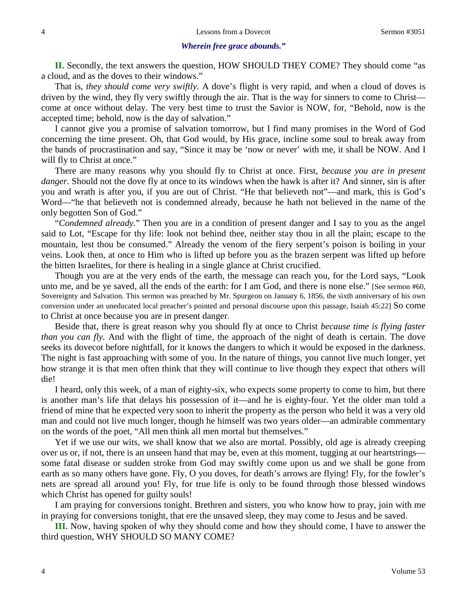#### *Wherein free grace abounds."*

**II.** Secondly, the text answers the question, HOW SHOULD THEY COME? They should come "as a cloud, and as the doves to their windows."

That is, *they should come very swiftly.* A dove's flight is very rapid, and when a cloud of doves is driven by the wind, they fly very swiftly through the air. That is the way for sinners to come to Christ come at once without delay. The very best time to trust the Savior is NOW, for, "Behold, now is the accepted time; behold, now is the day of salvation."

I cannot give you a promise of salvation tomorrow, but I find many promises in the Word of God concerning the time present. Oh, that God would, by His grace, incline some soul to break away from the bands of procrastination and say, "Since it may be 'now or never' with me, it shall be NOW. And I will fly to Christ at once."

There are many reasons why you should fly to Christ at once. First, *because you are in present danger.* Should not the dove fly at once to its windows when the hawk is after it? And sinner, sin is after you and wrath is after you, if you are out of Christ. "He that believeth not"—and mark, this is God's Word—"he that believeth not is condemned already, because he hath not believed in the name of the only begotten Son of God."

"*Condemned already.*" Then you are in a condition of present danger and I say to you as the angel said to Lot, "Escape for thy life: look not behind thee, neither stay thou in all the plain; escape to the mountain, lest thou be consumed." Already the venom of the fiery serpent's poison is boiling in your veins. Look then, at once to Him who is lifted up before you as the brazen serpent was lifted up before the bitten Israelites, for there is healing in a single glance at Christ crucified.

Though you are at the very ends of the earth, the message can reach you, for the Lord says, "Look unto me, and be ye saved, all the ends of the earth: for I am God, and there is none else." [See sermon #60, Sovereignty and Salvation. This sermon was preached by Mr. Spurgeon on January 6, 1856, the sixth anniversary of his own conversion under an uneducated local preacher's pointed and personal discourse upon this passage, Isaiah 45:22] So come to Christ at once because you are in present danger.

Beside that, there is great reason why you should fly at once to Christ *because time is flying faster than you can fly.* And with the flight of time, the approach of the night of death is certain. The dove seeks its dovecot before nightfall, for it knows the dangers to which it would be exposed in the darkness. The night is fast approaching with some of you. In the nature of things, you cannot live much longer, yet how strange it is that men often think that they will continue to live though they expect that others will die!

I heard, only this week, of a man of eighty-six, who expects some property to come to him, but there is another man's life that delays his possession of it—and he is eighty-four. Yet the older man told a friend of mine that he expected very soon to inherit the property as the person who held it was a very old man and could not live much longer, though he himself was two years older—an admirable commentary on the words of the poet, "All men think all men mortal but themselves."

Yet if we use our wits, we shall know that we also are mortal. Possibly, old age is already creeping over us or, if not, there is an unseen hand that may be, even at this moment, tugging at our heartstrings some fatal disease or sudden stroke from God may swiftly come upon us and we shall be gone from earth as so many others have gone. Fly, O you doves, for death's arrows are flying! Fly, for the fowler's nets are spread all around you! Fly, for true life is only to be found through those blessed windows which Christ has opened for guilty souls!

I am praying for conversions tonight. Brethren and sisters, you who know how to pray, join with me in praying for conversions tonight, that ere the unsaved sleep, they may come to Jesus and be saved.

**III.** Now, having spoken of why they should come and how they should come, I have to answer the third question, WHY SHOULD SO MANY COME?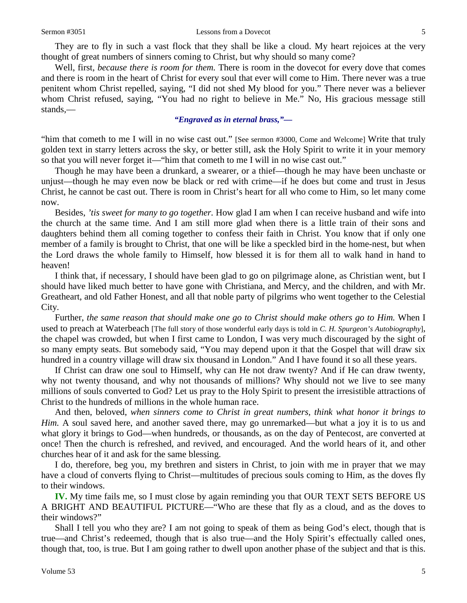They are to fly in such a vast flock that they shall be like a cloud. My heart rejoices at the very thought of great numbers of sinners coming to Christ, but why should so many come?

Well, first, *because there is room for them.* There is room in the dovecot for every dove that comes and there is room in the heart of Christ for every soul that ever will come to Him. There never was a true penitent whom Christ repelled, saying, "I did not shed My blood for you." There never was a believer whom Christ refused, saying, "You had no right to believe in Me." No, His gracious message still stands,—

### *"Engraved as in eternal brass,"—*

"him that cometh to me I will in no wise cast out." [See sermon #3000, Come and Welcome] Write that truly golden text in starry letters across the sky, or better still, ask the Holy Spirit to write it in your memory so that you will never forget it—"him that cometh to me I will in no wise cast out."

Though he may have been a drunkard, a swearer, or a thief—though he may have been unchaste or unjust—though he may even now be black or red with crime—if he does but come and trust in Jesus Christ, he cannot be cast out. There is room in Christ's heart for all who come to Him, so let many come now.

Besides, *'tis sweet for many to go together.* How glad I am when I can receive husband and wife into the church at the same time. And I am still more glad when there is a little train of their sons and daughters behind them all coming together to confess their faith in Christ. You know that if only one member of a family is brought to Christ, that one will be like a speckled bird in the home-nest, but when the Lord draws the whole family to Himself, how blessed it is for them all to walk hand in hand to heaven!

I think that, if necessary, I should have been glad to go on pilgrimage alone, as Christian went, but I should have liked much better to have gone with Christiana, and Mercy, and the children, and with Mr. Greatheart, and old Father Honest, and all that noble party of pilgrims who went together to the Celestial City.

Further, *the same reason that should make one go to Christ should make others go to Him.* When I used to preach at Waterbeach [The full story of those wonderful early days is told in *C. H. Spurgeon's Autobiography*], the chapel was crowded, but when I first came to London, I was very much discouraged by the sight of so many empty seats. But somebody said, "You may depend upon it that the Gospel that will draw six hundred in a country village will draw six thousand in London." And I have found it so all these years.

If Christ can draw one soul to Himself, why can He not draw twenty? And if He can draw twenty, why not twenty thousand, and why not thousands of millions? Why should not we live to see many millions of souls converted to God? Let us pray to the Holy Spirit to present the irresistible attractions of Christ to the hundreds of millions in the whole human race.

And then, beloved, *when sinners come to Christ in great numbers, think what honor it brings to Him.* A soul saved here, and another saved there, may go unremarked—but what a joy it is to us and what glory it brings to God—when hundreds, or thousands, as on the day of Pentecost, are converted at once! Then the church is refreshed, and revived, and encouraged. And the world hears of it, and other churches hear of it and ask for the same blessing.

I do, therefore, beg you, my brethren and sisters in Christ, to join with me in prayer that we may have a cloud of converts flying to Christ—multitudes of precious souls coming to Him, as the doves fly to their windows.

**IV.** My time fails me, so I must close by again reminding you that OUR TEXT SETS BEFORE US A BRIGHT AND BEAUTIFUL PICTURE—"Who are these that fly as a cloud, and as the doves to their windows?"

Shall I tell you who they are? I am not going to speak of them as being God's elect, though that is true—and Christ's redeemed, though that is also true—and the Holy Spirit's effectually called ones, though that, too, is true. But I am going rather to dwell upon another phase of the subject and that is this.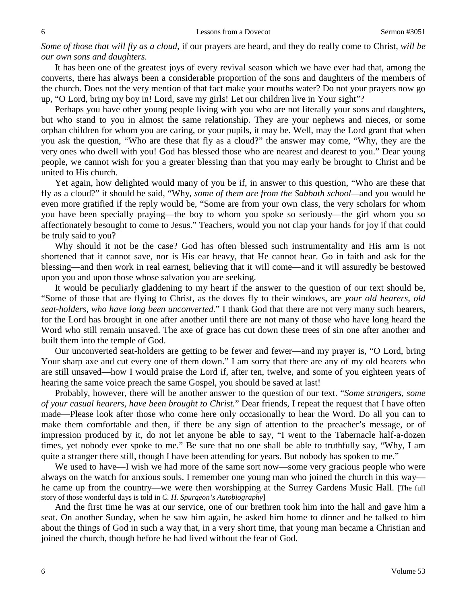*Some of those that will fly as a cloud,* if our prayers are heard, and they do really come to Christ, *will be our own sons and daughters.* 

It has been one of the greatest joys of every revival season which we have ever had that, among the converts, there has always been a considerable proportion of the sons and daughters of the members of the church. Does not the very mention of that fact make your mouths water? Do not your prayers now go up, "O Lord, bring my boy in! Lord, save my girls! Let our children live in Your sight"?

Perhaps you have other young people living with you who are not literally your sons and daughters, but who stand to you in almost the same relationship. They are your nephews and nieces, or some orphan children for whom you are caring, or your pupils, it may be. Well, may the Lord grant that when you ask the question, "Who are these that fly as a cloud?" the answer may come, "Why, they are the very ones who dwell with you! God has blessed those who are nearest and dearest to you." Dear young people, we cannot wish for you a greater blessing than that you may early be brought to Christ and be united to His church.

Yet again, how delighted would many of you be if, in answer to this question, "Who are these that fly as a cloud?" it should be said, "Why, *some of them are from the Sabbath school—*and you would be even more gratified if the reply would be, "Some are from your own class, the very scholars for whom you have been specially praying—the boy to whom you spoke so seriously—the girl whom you so affectionately besought to come to Jesus." Teachers, would you not clap your hands for joy if that could be truly said to you?

Why should it not be the case? God has often blessed such instrumentality and His arm is not shortened that it cannot save, nor is His ear heavy, that He cannot hear. Go in faith and ask for the blessing—and then work in real earnest, believing that it will come—and it will assuredly be bestowed upon you and upon those whose salvation you are seeking.

It would be peculiarly gladdening to my heart if the answer to the question of our text should be, "Some of those that are flying to Christ, as the doves fly to their windows, are *your old hearers, old seat-holders, who have long been unconverted.*" I thank God that there are not very many such hearers, for the Lord has brought in one after another until there are not many of those who have long heard the Word who still remain unsaved. The axe of grace has cut down these trees of sin one after another and built them into the temple of God.

Our unconverted seat-holders are getting to be fewer and fewer—and my prayer is, "O Lord, bring Your sharp axe and cut every one of them down." I am sorry that there are any of my old hearers who are still unsaved—how I would praise the Lord if, after ten, twelve, and some of you eighteen years of hearing the same voice preach the same Gospel, you should be saved at last!

Probably, however, there will be another answer to the question of our text. "*Some strangers, some of your casual hearers, have been brought to Christ.*" Dear friends, I repeat the request that I have often made—Please look after those who come here only occasionally to hear the Word. Do all you can to make them comfortable and then, if there be any sign of attention to the preacher's message, or of impression produced by it, do not let anyone be able to say, "I went to the Tabernacle half-a-dozen times, yet nobody ever spoke to me." Be sure that no one shall be able to truthfully say, "Why, I am quite a stranger there still, though I have been attending for years. But nobody has spoken to me."

We used to have—I wish we had more of the same sort now—some very gracious people who were always on the watch for anxious souls. I remember one young man who joined the church in this way he came up from the country—we were then worshipping at the Surrey Gardens Music Hall. [The full story of those wonderful days is told in *C. H. Spurgeon's Autobiography*]

And the first time he was at our service, one of our brethren took him into the hall and gave him a seat. On another Sunday, when he saw him again, he asked him home to dinner and he talked to him about the things of God in such a way that, in a very short time, that young man became a Christian and joined the church, though before he had lived without the fear of God.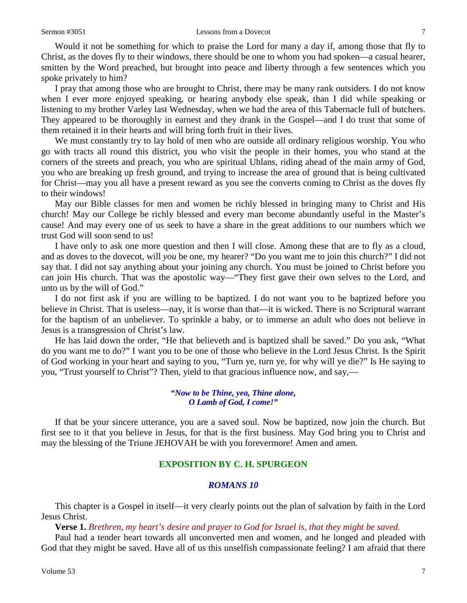Would it not be something for which to praise the Lord for many a day if, among those that fly to Christ, as the doves fly to their windows, there should be one to whom you had spoken—a casual hearer, smitten by the Word preached, but brought into peace and liberty through a few sentences which you spoke privately to him?

I pray that among those who are brought to Christ, there may be many rank outsiders. I do not know when I ever more enjoyed speaking, or hearing anybody else speak, than I did while speaking or listening to my brother Varley last Wednesday, when we had the area of this Tabernacle full of butchers. They appeared to be thoroughly in earnest and they drank in the Gospel—and I do trust that some of them retained it in their hearts and will bring forth fruit in their lives.

We must constantly try to lay hold of men who are outside all ordinary religious worship. You who go with tracts all round this district, you who visit the people in their homes, you who stand at the corners of the streets and preach, you who are spiritual Uhlans, riding ahead of the main army of God, you who are breaking up fresh ground, and trying to increase the area of ground that is being cultivated for Christ—may you all have a present reward as you see the converts coming to Christ as the doves fly to their windows!

May our Bible classes for men and women be richly blessed in bringing many to Christ and His church! May our College be richly blessed and every man become abundantly useful in the Master's cause! And may every one of us seek to have a share in the great additions to our numbers which we trust God will soon send to us!

I have only to ask one more question and then I will close. Among these that are to fly as a cloud, and as doves to the dovecot, will *you* be one, my hearer? "Do you want me to join this church?" I did not say that. I did not say anything about your joining any church. You must be joined to Christ before you can join His church. That was the apostolic way—"They first gave their own selves to the Lord, and unto us by the will of God."

I do not first ask if you are willing to be baptized. I do not want you to be baptized before you believe in Christ. That is useless—nay, it is worse than that—it is wicked. There is no Scriptural warrant for the baptism of an unbeliever. To sprinkle a baby, or to immerse an adult who does not believe in Jesus is a transgression of Christ's law.

He has laid down the order, "He that believeth and is baptized shall be saved." Do you ask, "What do you want me to do?" I want you to be one of those who believe in the Lord Jesus Christ. Is the Spirit of God working in your heart and saying to you, "Turn ye, turn ye, for why will ye die?" Is He saying to you, "Trust yourself to Christ"? Then, yield to that gracious influence now, and say,—

> *"Now to be Thine, yea, Thine alone, O Lamb of God, I come!"*

If that be your sincere utterance, you are a saved soul. Now be baptized, now join the church. But first see to it that you believe in Jesus, for that is the first business. May God bring you to Christ and may the blessing of the Triune JEHOVAH be with you forevermore! Amen and amen.

#### **EXPOSITION BY C. H. SPURGEON**

## *ROMANS 10*

This chapter is a Gospel in itself—it very clearly points out the plan of salvation by faith in the Lord Jesus Christ.

**Verse 1.** *Brethren, my heart's desire and prayer to God for Israel is, that they might be saved.*

Paul had a tender heart towards all unconverted men and women, and he longed and pleaded with God that they might be saved. Have all of us this unselfish compassionate feeling? I am afraid that there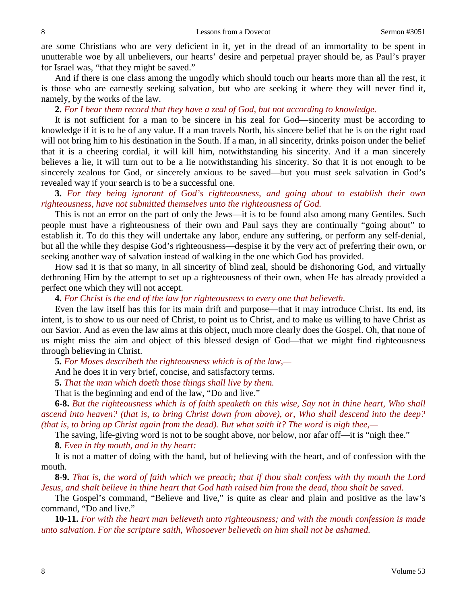are some Christians who are very deficient in it, yet in the dread of an immortality to be spent in unutterable woe by all unbelievers, our hearts' desire and perpetual prayer should be, as Paul's prayer for Israel was, "that they might be saved."

And if there is one class among the ungodly which should touch our hearts more than all the rest, it is those who are earnestly seeking salvation, but who are seeking it where they will never find it, namely, by the works of the law.

### **2.** *For I bear them record that they have a zeal of God, but not according to knowledge.*

It is not sufficient for a man to be sincere in his zeal for God—sincerity must be according to knowledge if it is to be of any value. If a man travels North, his sincere belief that he is on the right road will not bring him to his destination in the South. If a man, in all sincerity, drinks poison under the belief that it is a cheering cordial, it will kill him, notwithstanding his sincerity. And if a man sincerely believes a lie, it will turn out to be a lie notwithstanding his sincerity. So that it is not enough to be sincerely zealous for God, or sincerely anxious to be saved—but you must seek salvation in God's revealed way if your search is to be a successful one.

# **3.** *For they being ignorant of God's righteousness, and going about to establish their own righteousness, have not submitted themselves unto the righteousness of God.*

This is not an error on the part of only the Jews—it is to be found also among many Gentiles. Such people must have a righteousness of their own and Paul says they are continually "going about" to establish it. To do this they will undertake any labor, endure any suffering, or perform any self-denial, but all the while they despise God's righteousness—despise it by the very act of preferring their own, or seeking another way of salvation instead of walking in the one which God has provided.

How sad it is that so many, in all sincerity of blind zeal, should be dishonoring God, and virtually dethroning Him by the attempt to set up a righteousness of their own, when He has already provided a perfect one which they will not accept.

**4.** *For Christ is the end of the law for righteousness to every one that believeth.*

Even the law itself has this for its main drift and purpose—that it may introduce Christ. Its end, its intent, is to show to us our need of Christ, to point us to Christ, and to make us willing to have Christ as our Savior. And as even the law aims at this object, much more clearly does the Gospel. Oh, that none of us might miss the aim and object of this blessed design of God—that we might find righteousness through believing in Christ.

**5.** *For Moses describeth the righteousness which is of the law,—*

And he does it in very brief, concise, and satisfactory terms.

**5.** *That the man which doeth those things shall live by them.*

That is the beginning and end of the law, "Do and live."

**6-8.** *But the righteousness which is of faith speaketh on this wise, Say not in thine heart, Who shall ascend into heaven? (that is, to bring Christ down from above), or, Who shall descend into the deep? (that is, to bring up Christ again from the dead). But what saith it? The word is nigh thee,—*

The saving, life-giving word is not to be sought above, nor below, nor afar off—it is "nigh thee."

**8.** *Even in thy mouth, and in thy heart:*

It is not a matter of doing with the hand, but of believing with the heart, and of confession with the mouth.

**8-9.** *That is, the word of faith which we preach; that if thou shalt confess with thy mouth the Lord Jesus, and shalt believe in thine heart that God hath raised him from the dead, thou shalt be saved.*

The Gospel's command, "Believe and live," is quite as clear and plain and positive as the law's command, "Do and live."

**10-11.** *For with the heart man believeth unto righteousness; and with the mouth confession is made unto salvation. For the scripture saith, Whosoever believeth on him shall not be ashamed.*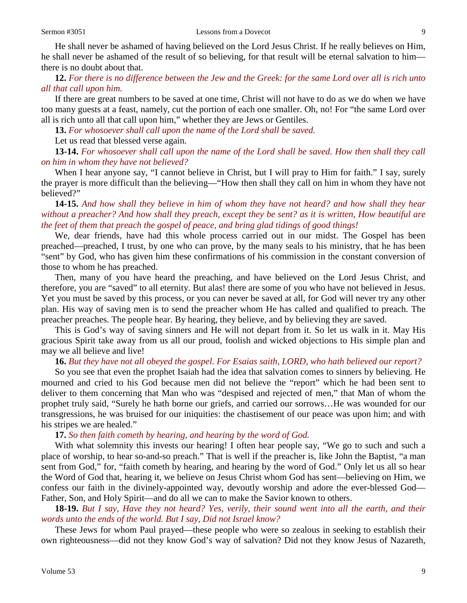He shall never be ashamed of having believed on the Lord Jesus Christ. If he really believes on Him, he shall never be ashamed of the result of so believing, for that result will be eternal salvation to him there is no doubt about that.

**12.** *For there is no difference between the Jew and the Greek: for the same Lord over all is rich unto all that call upon him.*

If there are great numbers to be saved at one time, Christ will not have to do as we do when we have too many guests at a feast, namely, cut the portion of each one smaller. Oh, no! For "the same Lord over all is rich unto all that call upon him," whether they are Jews or Gentiles.

**13.** *For whosoever shall call upon the name of the Lord shall be saved.*

Let us read that blessed verse again.

**13-14.** *For whosoever shall call upon the name of the Lord shall be saved. How then shall they call on him in whom they have not believed?*

When I hear anyone say, "I cannot believe in Christ, but I will pray to Him for faith." I say, surely the prayer is more difficult than the believing—"How then shall they call on him in whom they have not believed?"

**14-15.** *And how shall they believe in him of whom they have not heard? and how shall they hear without a preacher? And how shall they preach, except they be sent? as it is written, How beautiful are the feet of them that preach the gospel of peace, and bring glad tidings of good things!*

We, dear friends, have had this whole process carried out in our midst. The Gospel has been preached—preached, I trust, by one who can prove, by the many seals to his ministry, that he has been "sent" by God, who has given him these confirmations of his commission in the constant conversion of those to whom he has preached.

Then, many of you have heard the preaching, and have believed on the Lord Jesus Christ, and therefore, you are "saved" to all eternity. But alas! there are some of you who have not believed in Jesus. Yet you must be saved by this process, or you can never be saved at all, for God will never try any other plan. His way of saving men is to send the preacher whom He has called and qualified to preach. The preacher preaches. The people hear. By hearing, they believe, and by believing they are saved.

This is God's way of saving sinners and He will not depart from it. So let us walk in it. May His gracious Spirit take away from us all our proud, foolish and wicked objections to His simple plan and may we all believe and live!

**16.** *But they have not all obeyed the gospel. For Esaias saith, LORD, who hath believed our report?*

So you see that even the prophet Isaiah had the idea that salvation comes to sinners by believing. He mourned and cried to his God because men did not believe the "report" which he had been sent to deliver to them concerning that Man who was "despised and rejected of men," that Man of whom the prophet truly said, "Surely he hath borne our griefs, and carried our sorrows…He was wounded for our transgressions, he was bruised for our iniquities: the chastisement of our peace was upon him; and with his stripes we are healed."

**17.** *So then faith cometh by hearing, and hearing by the word of God.*

With what solemnity this invests our hearing! I often hear people say, "We go to such and such a place of worship, to hear so-and-so preach." That is well if the preacher is, like John the Baptist, "a man sent from God," for, "faith cometh by hearing, and hearing by the word of God." Only let us all so hear the Word of God that, hearing it, we believe on Jesus Christ whom God has sent—believing on Him, we confess our faith in the divinely-appointed way, devoutly worship and adore the ever-blessed God— Father, Son, and Holy Spirit—and do all we can to make the Savior known to others.

**18-19.** *But I say, Have they not heard? Yes, verily, their sound went into all the earth, and their words unto the ends of the world. But I say, Did not Israel know?*

These Jews for whom Paul prayed—these people who were so zealous in seeking to establish their own righteousness—did not they know God's way of salvation? Did not they know Jesus of Nazareth,